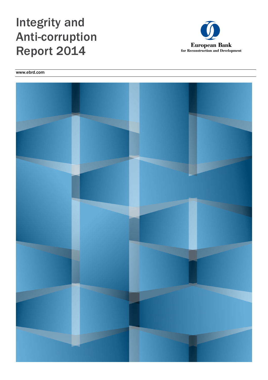# Integrity and Anti-corruption Report 2014



www.ebrd.com

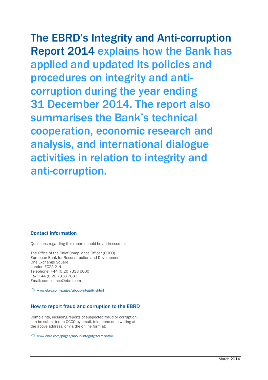# The EBRD's Integrity and Anti-corruption

Report 2014 explains how the Bank has applied and updated its policies and procedures on integrity and anticorruption during the year ending 31 December 2014. The report also summarises the Bank's technical cooperation, economic research and analysis, and international dialogue activities in relation to integrity and anti-corruption.

#### Contact information

Questions regarding this report should be addressed to:

The Office of the Chief Compliance Officer (OCCO) European Bank for Reconstruction and Development One Exchange Square London EC2A 2JN Telephone: +44 (0)20 7338 6000 Fax: +44 (0)20 7338 7633 Email: compliance@ebrd.com

www.ebrd.com/pages/about/integrity.shtml

#### How to report fraud and corruption to the EBRD

Complaints, including reports of suspected fraud or corruption, can be submitted to OCCO by email, telephone or in writing at the above address, or via the online form at:

www.ebrd.com/pages/about/integrity/form.shtml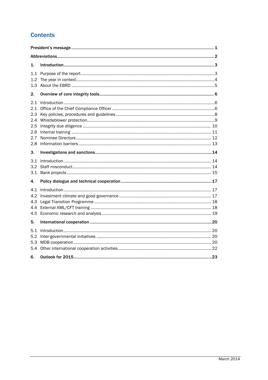# **Contents**

| 1.                                     |                  |  |  |  |  |  |
|----------------------------------------|------------------|--|--|--|--|--|
| 1.2                                    |                  |  |  |  |  |  |
| 2.                                     |                  |  |  |  |  |  |
| 2.1<br>2.4<br>2.5<br>2.6<br>2.7<br>2.8 |                  |  |  |  |  |  |
| 3.                                     |                  |  |  |  |  |  |
| 3.1<br>3.2<br>3.1                      | Introduction 144 |  |  |  |  |  |
| 4.                                     |                  |  |  |  |  |  |
| 4.1<br>4.2<br>4.3<br>4.4<br>4.5        |                  |  |  |  |  |  |
| 5.                                     |                  |  |  |  |  |  |
| 5.1<br>5.2<br>5.3<br>5.4<br>6.         |                  |  |  |  |  |  |
|                                        |                  |  |  |  |  |  |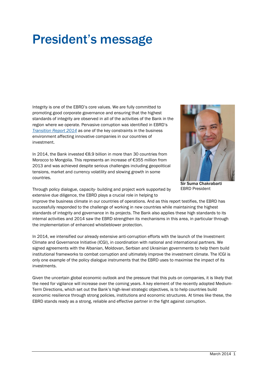# President's message

Integrity is one of the EBRD's core values. We are fully committed to promoting good corporate governance and ensuring that the highest standards of integrity are observed in all of the activities of the Bank in the region where we operate. Pervasive corruption was identified in EBRD's *[Transition Report 2014](http://www.ebrd.com/news/publications.html)* as one of the key constraints in the business environment affecting innovative companies in our countries of investment.

In 2014, the Bank invested €8.9 billion in more than 30 countries from Morocco to Mongolia. This represents an increase of €355 million from 2013 and was achieved despite serious challenges including geopolitical tensions, market and currency volatility and slowing growth in some countries.



Sir Suma Chakrabarti EBRD President

Through policy dialogue, capacity- building and project work supported by extensive due diligence, the EBRD plays a crucial role in helping to

improve the business climate in our countries of operations. And as this report testifies, the EBRD has successfully responded to the challenge of working in new countries while maintaining the highest standards of integrity and governance in its projects. The Bank also applies these high standards to its internal activities and 2014 saw the EBRD strengthen its mechanisms in this area, in particular through the implementation of enhanced whistleblower protection.

In 2014, we intensified our already extensive anti-corruption efforts with the launch of the Investment Climate and Governance Initiative (ICGI), in coordination with national and international partners. We signed agreements with the Albanian, Moldovan, Serbian and Ukrainian governments to help them build institutional frameworks to combat corruption and ultimately improve the investment climate. The ICGI is only one example of the policy dialogue instruments that the EBRD uses to maximise the impact of its investments.

Given the uncertain global economic outlook and the pressure that this puts on companies, it is likely that the need for vigilance will increase over the coming years. A key element of the recently adopted Medium-Term Directions, which set out the Bank's high-level strategic objectives, is to help countries build economic resilience through strong policies, institutions and economic structures. At times like these, the EBRD stands ready as a strong, reliable and effective partner in the fight against corruption.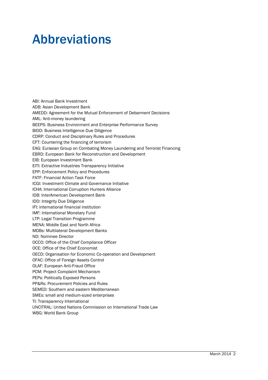# Abbreviations

ABI: Annual Bank Investment ADB: Asian Development Bank AMEDD: Agreement for the Mutual Enforcement of Debarment Decisions AML: Anti-money laundering BEEPS: Business Environment and Enterprise Performance Survey BIDD: Business Intelligence Due Diligence CDRP: Conduct and Disciplinary Rules and Procedures CFT: Countering the financing of terrorism EAG: Eurasian Group on Combating Money Laundering and Terrorist Financing EBRD: European Bank for Reconstruction and Development EIB: European Investment Bank EITI: Extractive Industries Transparency Initiative EPP: Enforcement Policy and Procedures FATF: Financial Action Task Force ICGI: Investment Climate and Governance Initiative ICHA: International Corruption Hunters Alliance IDB: InterAmerican Development Bank IDD: Integrity Due Diligence IFI: international financial institution IMF: International Monetary Fund LTP: Legal Transition Programme MENA: Middle East and North Africa MDBs: Multilateral Development Banks ND: Nominee Director OCCO: Office of the Chief Compliance Officer OCE: Office of the Chief Economist OECD: Organisation for Economic Co-operation and Development OFAC: Office of Foreign Assets Control OLAF: European Anti-Fraud Office PCM: Project Complaint Mechanism PEPs: Politically Exposed Persons PP&Rs: Procurement Policies and Rules SEMED: Southern and eastern Mediterranean SMEs: small and medium-sized enterprises TI: Transparency International UNCITRAL: United Nations Commission on International Trade Law WBG: World Bank Group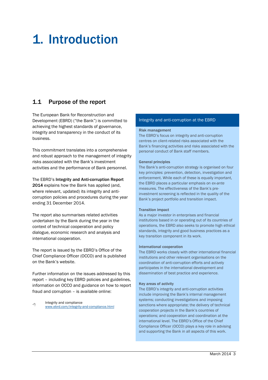# 1. Introduction

### 1.1 Purpose of the report

The European Bank for Reconstruction and Development (EBRD) ("the Bank") is committed to achieving the highest standards of governance, integrity and transparency in the conduct of its business.

This commitment translates into a comprehensive and robust approach to the management of integrity risks associated with the Bank's investment activities and the performance of Bank personnel.

The EBRD's Integrity and Anti-corruption Report 2014 explains how the Bank has applied (and, where relevant, updated) its integrity and anticorruption policies and procedures during the year ending 31 December 2014.

The report also summarises related activities undertaken by the Bank during the year in the context of technical cooperation and policy dialogue, economic research and analysis and international cooperation.

The report is issued by the EBRD's Office of the Chief Compliance Officer (OCCO) and is published on the Bank's website.

Further information on the issues addressed by this report – including key EBRD policies and guidelines, information on OCCO and guidance on how to report fraud and corruption – is available online:

A Integrity and compliance [www.ebrd.com/integrity-and-compliance.html](http://www.ebrd.com/integrity-and-compliance.html)

#### Integrity and anti-corruption at the EBRD

#### Risk management

The EBRD's focus on integrity and anti-corruption centres on client-related risks associated with the Bank's financing activities and risks associated with the personal conduct of Bank staff members.

#### General principles

The Bank's anti-corruption strategy is organised on four key principles: prevention, detection, investigation and enforcement. While each of these is equally important, the EBRD places a particular emphasis on *ex-ante* measures. The effectiveness of the Bank's preinvestment screening is reflected in the quality of the Bank's project portfolio and transition impact.

#### Transition impact

As a major investor in enterprises and financial institutions based in or operating out of its countries of operations, the EBRD also seeks to promote high ethical standards, integrity and good business practices as a key transition component in its work.

#### International cooperation

The EBRD works closely with other international financial institutions and other relevant organisations on the coordination of anti-corruption efforts and actively participates in the international development and dissemination of best practice and experience.

#### Key areas of activity

The EBRD's integrity and anti-corruption activities include improving the Bank's internal management systems; conducting investigations and imposing sanctions where appropriate; the delivery of technical cooperation projects in the Bank's countries of operations; and cooperation and coordination at the international level. The EBRD's Office of the Chief Compliance Officer (OCCO) plays a key role in advising and supporting the Bank in all aspects of this work.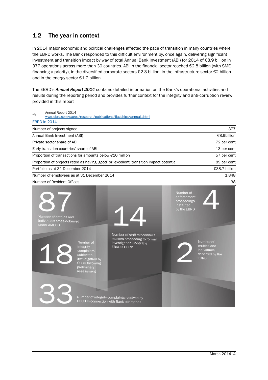# 1.2 The year in context

In 2014 major economic and political challenges affected the pace of transition in many countries where the EBRD works. The Bank responded to this difficult environment by, once again, delivering significant investment and transition impact by way of total Annual Bank Investment (ABI) for 2014 of €8.9 billion in 377 operations across more than 30 countries. ABI in the financial sector reached €2.8 billion (with SME financing a priority), in the diversified corporate sectors €2.3 billion, in the infrastructure sector €2 billion and in the energy sector €1.7 billion.

The EBRD's *Annual Report 2014* contains detailed information on the Bank's operational activities and results during the reporting period and provides further context for the integrity and anti-corruption review provided in this report

| ≁                                        | Annual Report 2014                                                  |                                                                                                                              | www.ebrd.com/pages/research/publications/flagships/annual.shtml                                             |                                                                      |                                                                            |
|------------------------------------------|---------------------------------------------------------------------|------------------------------------------------------------------------------------------------------------------------------|-------------------------------------------------------------------------------------------------------------|----------------------------------------------------------------------|----------------------------------------------------------------------------|
|                                          | <b>EBRD in 2014</b>                                                 |                                                                                                                              |                                                                                                             |                                                                      |                                                                            |
|                                          | Number of projects signed                                           |                                                                                                                              |                                                                                                             |                                                                      | 377                                                                        |
|                                          | Annual Bank Investment (ABI)                                        |                                                                                                                              |                                                                                                             |                                                                      | €8.9billion                                                                |
| Private sector share of ABI              |                                                                     |                                                                                                                              |                                                                                                             |                                                                      | 72 per cent                                                                |
| Early transition countries' share of ABI |                                                                     |                                                                                                                              |                                                                                                             |                                                                      | 13 per cent                                                                |
|                                          |                                                                     | Proportion of transactions for amounts below €10 million                                                                     |                                                                                                             |                                                                      | 57 per cent                                                                |
|                                          |                                                                     |                                                                                                                              | Proportion of projects rated as having 'good' or 'excellent' transition impact potential                    |                                                                      | 89 per cent                                                                |
|                                          | Portfolio as at 31 December 2014                                    |                                                                                                                              |                                                                                                             |                                                                      | €38.7 billion                                                              |
|                                          |                                                                     | Number of employees as at 31 December 2014                                                                                   |                                                                                                             |                                                                      | 1,848                                                                      |
|                                          | Number of Resident Offices                                          |                                                                                                                              |                                                                                                             |                                                                      | 38                                                                         |
|                                          | Number of entities and<br>individuals cross-debarred<br>under AMEDD |                                                                                                                              |                                                                                                             | Number of<br>enforcement<br>proceedings<br>instituted<br>by the EBRD |                                                                            |
|                                          |                                                                     | Number of<br>integrity<br>complaints<br>subject to<br>investigation by<br><b>OCCO</b> following<br>preliminary<br>assessment | Number of staff misconduct<br>matters proceeding to formal<br>investigation under the<br><b>EBRD's CDRP</b> |                                                                      | Number of<br>entities and<br>individuals<br>debarred by the<br><b>EBRD</b> |
|                                          |                                                                     |                                                                                                                              | Number of integrity complaints received by<br>OCCO in connection with Bank operations                       |                                                                      |                                                                            |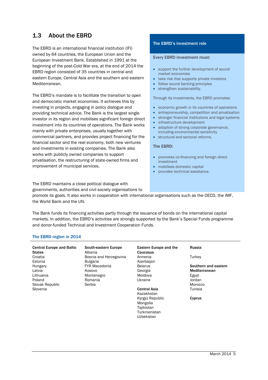# 1.3 About the EBRD

The EBRD is an international financial institution (IFI) owned by 64 countries, the European Union and the European Investment Bank. Established in 1991 at the beginning of the post-Cold War era, at the end of 2014 the EBRD region consisted of 35 countries in central and eastern Europe, Central Asia and the southern and eastern Mediterranean.

The EBRD's mandate is to facilitate the transition to open and democratic market economies. It achieves this by investing in projects, engaging in policy dialogue and providing technical advice. The Bank is the largest single investor in its region and mobilises significant foreign direct investment into its countries of operations. The Bank works mainly with private enterprises, usually together with commercial partners, and provides project financing for the financial sector and the real economy, both new ventures and investments in existing companies. The Bank also works with publicly owned companies to support privatisation, the restructuring of state-owned firms and improvement of municipal services.

#### The EBRD's investment role

#### Every EBRD investment must:

- support the further development of sound market economies
- take risk that supports private investors
- follow sound banking principles
- strengthen sustainability.

Through its investments, the EBRD promotes:

- economic growth in its countries of operations
- entrepreneurship, competition and privatisation
- stronger financial institutions and legal systems
- infrastructure development
- adoption of strong corporate governance, including environmental sensitivity
- structural and sectoral reforms.

#### The EBRD:

- promotes co-financing and foreign direct investment
- mobilises domestic capital
- provides technical assistance.

The EBRD maintains a close political dialogue with governments, authorities and civil society organisations to

promote its goals. It also works in cooperation with international organisations such as the OECD, the IMF, the World Bank and the UN.

The Bank funds its financing activities partly through the issuance of bonds on the international capital markets. In addition, the EBRD's activities are strongly supported by the Bank's Special Funds programme and donor-funded Technical and Investment Cooperation Funds.

#### The EBRD region in 2014

| South-eastern Europe<br>Albania | Eastern Europe and the<br>Caucasus                                      | Russia               |
|---------------------------------|-------------------------------------------------------------------------|----------------------|
| Bosnia and Herzegovina          | Armenia                                                                 | Turkey               |
| <b>Bulgaria</b>                 | Azerbaijan                                                              |                      |
| <b>FYR Macedonia</b>            | <b>Belarus</b>                                                          | Southern and eastern |
| Kosovo                          | Georgia                                                                 | Mediterranean        |
| Montenegro                      | Moldova                                                                 | Egypt                |
| Romania                         | Ukraine                                                                 | Jordan               |
| Serbia                          |                                                                         | Morocco              |
|                                 | <b>Central Asia</b><br>Kazakhstan                                       | Tunisia              |
|                                 | Kyrgyz Republic<br>Mongolia<br>Tajikistan<br>Turkmenistan<br>Uzbekistan | Cyprus               |
|                                 |                                                                         |                      |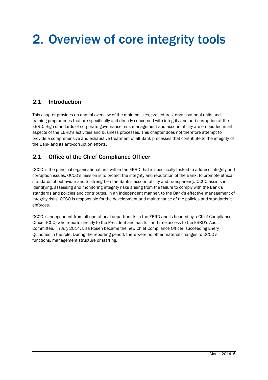# 2. Overview of core integrity tools

## 2.1 Introduction

This chapter provides an annual overview of the main policies, procedures, organisational units and training programmes that are specifically and directly concerned with integrity and anti-corruption at the EBRD. High standards of corporate governance, risk management and accountability are embedded in all aspects of the EBRD's activities and business processes. This chapter does not therefore attempt to provide a comprehensive and exhaustive treatment of all Bank processes that contribute to the integrity of the Bank and its anti-corruption efforts.

## 2.1 Office of the Chief Compliance Officer

OCCO is the principal organisational unit within the EBRD that is specifically tasked to address integrity and corruption issues. OCCO's mission is to protect the integrity and reputation of the Bank, to promote ethical standards of behaviour and to strengthen the Bank's accountability and transparency. OCCO assists in identifying, assessing and monitoring integrity risks arising from the failure to comply with the Bank's standards and policies and contributes, in an independent manner, to the Bank's effective management of integrity risks. OCCO is responsible for the development and maintenance of the policies and standards it enforces.

OCCO is independent from all operational departments in the EBRD and is headed by a Chief Compliance Officer (CCO) who reports directly to the President and has full and free access to the EBRD's Audit Committee. In July 2014, Lisa Rosen became the new Chief Compliance Officer, succeeding Enery Quinones in the role. During the reporting period, there were no other material changes to OCCO's functions, management structure or staffing.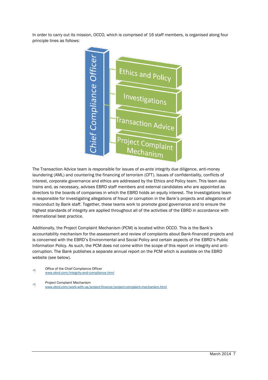In order to carry out its mission, OCCO, which is comprised of 16 staff members, is organised along four principle lines as follows:



The Transaction Advice team is responsible for issues of *ex-ante* integrity due diligence, anti-money laundering (AML) and countering the financing of terrorism (CFT). Issues of confidentiality, conflicts of interest, corporate governance and ethics are addressed by the Ethics and Policy team. This team also trains and, as necessary, advises EBRD staff members and external candidates who are appointed as directors to the boards of companies in which the EBRD holds an equity interest. The Investigations team is responsible for investigating allegations of fraud or corruption in the Bank's projects and allegations of misconduct by Bank staff. Together, these teams work to promote good governance and to ensure the highest standards of integrity are applied throughout all of the activities of the EBRD in accordance with international best practice.

Additionally, the Project Complaint Mechanism (PCM) is located within OCCO. This is the Bank's accountability mechanism for the assessment and review of complaints about Bank-financed projects and is concerned with the EBRD's Environmental and Social Policy and certain aspects of the EBRD's Public Information Policy. As such, the PCM does not come within the scope of this report on integrity and anticorruption. The Bank publishes a separate annual report on the PCM which is available on the EBRD website (see below).

哈 Office of the Chief Compliance Officer [www.ebrd.com/integrity-and-compliance.html](http://www.ebrd.com/integrity-and-compliance.html)

∕∄ Project Complaint Mechanism [www.ebrd.com/work-with-us/project-finance/project-complaint-mechanism.html](http://www.ebrd.com/work-with-us/project-finance/project-complaint-mechanism.html)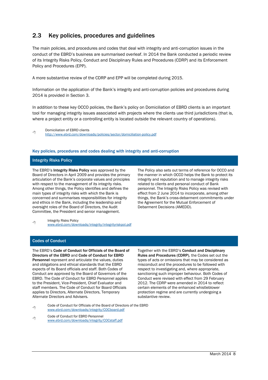# 2.3 Key policies, procedures and guidelines

The main policies, and procedures and codes that deal with integrity and anti-corruption issues in the conduct of the EBRD's business are summarised overleaf. In 2014 the Bank conducted a periodic review of its Integrity Risks Policy, Conduct and Disciplinary Rules and Procedures (CDRP) and its Enforcement Policy and Procedures (EPP).

A more substantive review of the CDRP and EPP will be completed during 2015.

Information on the application of the Bank's integrity and anti-corruption policies and procedures during 2014 is provided in Section 3.

In addition to these key OCCO policies, the Bank's policy on Domiciliation of EBRD clients is an important tool for managing integrity issues associated with projects where the clients use third jurisdictions (that is, where a project entity or a controlling entity is located outside the relevant country of operations).

#### Key policies, procedures and codes dealing with integrity and anti-corruption

#### Integrity Risks Policy

The EBRD's Integrity Risks Policy was approved by the Board of Directors in April 2009 and provides the primary articulation of the Bank's corporate values and principles with respect to the management of its integrity risks. Among other things, the Policy identifies and defines the main types of integrity risks with which the Bank is concerned and summarises responsibilities for integrity and ethics in the Bank, including the leadership and oversight roles of the Board of Directors, the Audit Committee, the President and senior management.

The Policy also sets out terms of reference for OCCO and the manner in which OCCO helps the Bank to protect its integrity and reputation and to manage integrity risks related to clients and personal conduct of Bank personnel. The Integrity Risks Policy was revised with effect from 2 June 2014 to incorporate, among other things, the Bank's cross-debarment commitments under the Agreement for the Mutual Enforcement of Debarment Decisions (AMEDD).

哈 Integrity Risks Policy [www.ebrd.com/downloads/integrity/integrityriskpol.pdf](http://www.ebrd.com/downloads/integrity/integrityriskpol.pdf)

#### Codes of Conduct

The EBRD's Code of Conduct for Officials of the Board of Directors of the EBRD and Code of Conduct for EBRD Personnel represent and articulate the values, duties and obligations and ethical standards that the EBRD expects of its Board officials and staff. Both Codes of Conduct are approved by the Board of Governors of the EBRD. The Code of Conduct for EBRD Personnel applies to the President, Vice-President, Chief Evaluator and staff members. The Code of Conduct for Board Officials applies to Directors, Alternate Directors, Temporary Alternate Directors and Advisers.

Together with the EBRD's Conduct and Disciplinary Rules and Procedures (CDRP), the Codes set out the types of acts or omissions that may be considered as misconduct and the procedures to be followed with respect to investigating and, where appropriate, sanctioning such improper behaviour. Both Codes of Conduct were revised with effect from 29 February 2012. The CDRP were amended in 2014 to reflect certain elements of the enhanced whistleblower protection regime and are currently undergoing a substantive review.

个 Code of Conduct for Officials of the Board of Directors of the EBRD [www.ebrd.com/downloads/integrity/COCboard.pdf](http://www.ebrd.com/downloads/integrity/COCboard.pdf)

게 Code of Conduct for EBRD Personnel [www.ebrd.com/downloads/integrity/COCstaff.pdf](http://www.ebrd.com/downloads/integrity/COCstaff.pdf)

个 Domiciliation of EBRD clients <http://www.ebrd.com/downloads/policies/sector/domiciliation-policy.pdf>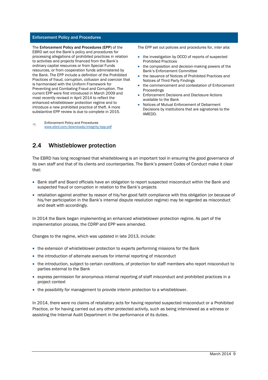#### Enforcement Policy and Procedures

The Enforcement Policy and Procedures (EPP) of the EBRD set out the Bank's policy and procedures for processing allegations of prohibited practices in relation to activities and projects financed from the Bank's ordinary capital resources or from Special Funds resources, or from cooperation funds administered by the Bank. The EPP include a definition of the Prohibited Practices of fraud, corruption, collusion and coercion that is harmonised with the Uniform Framework for Preventing and Combating Fraud and Corruption. The current EPP were first introduced in March 2009 and most recently revised in April 2014 to reflect the enhanced whistleblower protection regime and to introduce a new prohibited practice of theft. A more substantive EPP review is due to complete in 2015.

∽ Enforcement Policy and Procedures [www.ebrd.com/downloads/integrity/epp.pdf](http://www.ebrd.com/downloads/integrity/epp.pdf) The EPP set out policies and procedures for, *inter alia*:

- the investigation by OCCO of reports of suspected Prohibited Practices
- the composition and decision-making powers of the Bank's Enforcement Committee
- the issuance of Notices of Prohibited Practices and Notices of Third Party Findings
- the commencement and contestation of Enforcement Proceedings
- **•** Enforcement Decisions and Disclosure Actions available to the Bank
- Notices of Mutual Enforcement of Debarment Decisions by institutions that are signatories to the AMEDD.

### 2.4 Whistleblower protection

The EBRD has long recognised that whistleblowing is an important tool in ensuring the good governance of its own staff and that of its clients and counterparties. The Bank's present Codes of Conduct make it clear that:

- Bank staff and Board officials have an obligation to report suspected misconduct within the Bank and suspected fraud or corruption in relation to the Bank's projects
- retaliation against another by reason of his/her good faith compliance with this obligation (or because of his/her participation in the Bank's internal dispute resolution regime) may be regarded as misconduct and dealt with accordingly.

In 2014 the Bank began implementing an enhanced whistleblower protection regime. As part of the implementation process, the CDRP and EPP were amended.

Changes to the regime, which was updated in late 2013, include:

- the extension of whistleblower protection to experts performing missions for the Bank
- the introduction of alternate avenues for internal reporting of misconduct
- the introduction, subject to certain conditions, of protection for staff members who report misconduct to parties external to the Bank
- express permission for anonymous internal reporting of staff misconduct and prohibited practices in a project context
- the possibility for management to provide interim protection to a whistleblower.

In 2014, there were no claims of retaliatory acts for having reported suspected misconduct or a Prohibited Practice, or for having carried out any other protected activity, such as being interviewed as a witness or assisting the Internal Audit Department in the performance of its duties.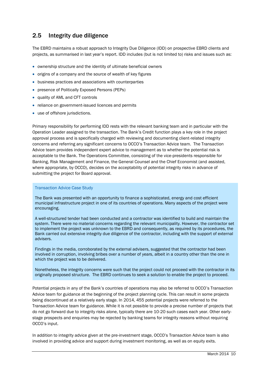### 2.5 Integrity due diligence

The EBRD maintains a robust approach to Integrity Due Diligence (IDD) on prospective EBRD clients and projects, as summarised in last year's report. IDD includes (but is not limited to) risks and issues such as:

- ownership structure and the identity of ultimate beneficial owners
- origins of a company and the source of wealth of key figures
- business practices and associations with counterparties
- presence of Politically Exposed Persons (PEPs)
- quality of AML and CFT controls
- reliance on government-issued licences and permits
- use of offshore jurisdictions.

Primary responsibility for performing IDD rests with the relevant banking team and in particular with the Operation Leader assigned to the transaction. The Bank's Credit function plays a key role in the project approval process and is specifically charged with reviewing and documenting client-related integrity concerns and referring any significant concerns to OCCO's Transaction Advice team. The Transaction Advice team provides independent expert advice to management as to whether the potential risk is acceptable to the Bank. The Operations Committee, consisting of the vice-presidents responsible for Banking, Risk Management and Finance, the General Counsel and the Chief Economist (and assisted, where appropriate, by OCCO), decides on the acceptability of potential integrity risks in advance of submitting the project for Board approval.

#### Transaction Advice Case Study

The Bank was presented with an opportunity to finance a sophisticated, energy and cost efficient municipal infrastructure project in one of its countries of operations. Many aspects of the project were encouraging.

A well-structured tender had been conducted and a contractor was identified to build and maintain the system. There were no material concerns regarding the relevant municipality. However, the contractor set to implement the project was unknown to the EBRD and consequently, as required by its procedures, the Bank carried out extensive integrity due diligence of the contractor, including with the support of external advisers.

Findings in the media, corroborated by the external advisers, suggested that the contractor had been involved in corruption, involving bribes over a number of years, albeit in a country other than the one in which the project was to be delivered.

Nonetheless, the integrity concerns were such that the project could not proceed with the contractor in its originally proposed structure. The EBRD continues to seek a solution to enable the project to proceed.

Potential projects in any of the Bank's countries of operations may also be referred to OCCO's Transaction Advice team for guidance at the beginning of the project planning cycle. This can result in some projects being discontinued at a relatively early stage. In 2014, 455 potential projects were referred to the Transaction Advice team for guidance. While it is not possible to provide a precise number of projects that do not go forward due to integrity risks alone, typically there are 10-20 such cases each year. Other earlystage prospects and enquiries may be rejected by banking teams for integrity reasons without requiring OCCO's input.

In addition to integrity advice given at the pre-investment stage, OCCO's Transaction Advice team is also involved in providing advice and support during investment monitoring, as well as on equity exits.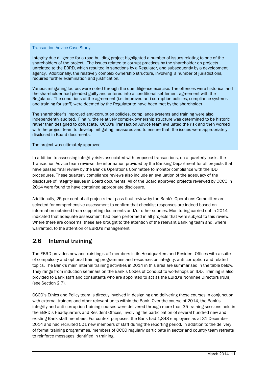#### Transaction Advice Case Study

Integrity due diligence for a road building project highlighted a number of issues relating to one of the shareholders of the project. The issues related to corrupt practices by the shareholder on projects unrelated to the EBRD, which resulted in sanctions by a Regulator, and subsequently by a development agency. Additionally, the relatively complex ownership structure, involving a number of jurisdictions, required further examination and justification.

Various mitigating factors were noted through the due diligence exercise. The offences were historical and the shareholder had pleaded guilty and entered into a conditional settlement agreement with the Regulator. The conditions of the agreement (i.e. improved anti-corruption policies, compliance systems and training for staff) were deemed by the Regulator to have been met by the shareholder.

The shareholder's improved anti-corruption policies, compliance systems and training were also independently audited. Finally, the relatively complex ownership structure was determined to be historic rather than designed to obfuscate. OCCO's Transaction Advice team evaluated the risk and then worked with the project team to develop mitigating measures and to ensure that the issues were appropriately disclosed in Board documents.

The project was ultimately approved.

In addition to assessing integrity risks associated with proposed transactions, on a quarterly basis, the Transaction Advice team reviews the information provided by the Banking Department for all projects that have passed final review by the Bank's Operations Committee to monitor compliance with the IDD procedures. These quarterly compliance reviews also include an evaluation of the adequacy of the disclosure of integrity issues in Board documents. All of the Board approved projects reviewed by OCCO in 2014 were found to have contained appropriate disclosure.

Additionally, 25 per cent of all projects that pass final review by the Bank's Operations Committee are selected for comprehensive assessment to confirm that checklist responses are indeed based on information obtained from supporting documents and/or other sources. Monitoring carried out in 2014 indicated that adequate assessment had been performed in all projects that were subject to this review. Where there are concerns, these are brought to the attention of the relevant Banking team and, where warranted, to the attention of EBRD's management.

#### 2.6 Internal training

The EBRD provides new and existing staff members in its Headquarters and Resident Offices with a suite of compulsory and optional training programmes and resources on integrity, anti-corruption and related topics. The Bank's main internal training activities in 2014 in this area are summarised in the table below. They range from induction seminars on the Bank's Codes of Conduct to workshops on IDD. Training is also provided to Bank staff and consultants who are appointed to act as the EBRD's Nominee Directors (NDs) (see Section 2.7).

OCCO's Ethics and Policy team is directly involved in designing and delivering these courses in conjunction with external trainers and other relevant units within the Bank. Over the course of 2014, the Bank's integrity and anti-corruption training courses were delivered through more than 35 training sessions held in the EBRD's Headquarters and Resident Offices, involving the participation of several hundred new and existing Bank staff members. For context purposes, the Bank had 1,848 employees as at 31 December 2014 and had recruited 501 new members of staff during the reporting period. In addition to the delivery of formal training programmes, members of OCCO regularly participate in sector and country team retreats to reinforce messages identified in training.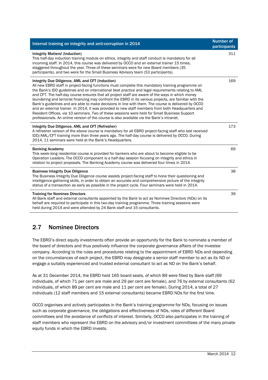| Internal training on integrity and anti-corruption in 2014                                                                                                                                                                                                                                                                                                                                                                                                                                                                                                                                                                                                                                                                                                                                                                                                                            | <b>Number of</b><br>participants |
|---------------------------------------------------------------------------------------------------------------------------------------------------------------------------------------------------------------------------------------------------------------------------------------------------------------------------------------------------------------------------------------------------------------------------------------------------------------------------------------------------------------------------------------------------------------------------------------------------------------------------------------------------------------------------------------------------------------------------------------------------------------------------------------------------------------------------------------------------------------------------------------|----------------------------------|
| <b>Integrity Matters! (Induction)</b><br>This half-day induction training module on ethics, integrity and staff conduct is mandatory for all<br>incoming staff. In 2014, this course was delivered by OCCO and an external trainer 15 times,<br>staggered throughout the year. Three of these seminars were for new Board members (35<br>participants), and two were for the Small Business Advisory team (53 participants).                                                                                                                                                                                                                                                                                                                                                                                                                                                          | 311                              |
| Integrity Due Diligence, AML and CFT (Induction)<br>All new EBRD staff in project-facing functions must complete this mandatory training programme on<br>the Bank's IDD guidelines and on international best practice and legal requirements relating to AML<br>and CFT. The half-day course ensures that all project staff are aware of the ways in which money<br>laundering and terrorist financing may confront the EBRD in its various projects, are familiar with the<br>Bank's guidelines and are able to make decisions in line with them. The course is delivered by OCCO<br>and an external trainer. In 2014, it was provided to new staff members from both Headquarters and<br>Resident Offices, via 10 seminars. Two of these sessions were held for Small Business Support<br>professionals. An online version of the course is also available via the Bank's intranet. | 169                              |
| Integrity Due Diligence, AML and CFT (Refresher)<br>A refresher version of the above course is mandatory for all EBRD project-facing staff who last received<br>IDD/AML/CFT training more than three years ago. The half-day course is delivered by OCCO. During<br>2014, 11 seminars were held at the Bank's Headquarters.                                                                                                                                                                                                                                                                                                                                                                                                                                                                                                                                                           | 173                              |
| <b>Banking Academy</b><br>This week-long residential course is provided for bankers who are about to become eligible to be<br>Operation Leaders. The OCCO component is a half-day session focusing on integrity and ethics in<br>relation to project proposals. The Banking Academy course was delivered four times in 2014.                                                                                                                                                                                                                                                                                                                                                                                                                                                                                                                                                          | 69                               |
| <b>Business Integrity Due Diligence</b><br>The Business Integrity Due Diligence course assists project-facing staff to hone their questioning and<br>intelligence-gathering skills, in order to obtain an accurate and comprehensive picture of the integrity<br>status of a transaction as early as possible in the project cycle. Four seminars were held in 2014.                                                                                                                                                                                                                                                                                                                                                                                                                                                                                                                  | 38                               |
| <b>Training for Nominee Directors</b><br>All Bank staff and external consultants appointed by the Bank to act as Nominee Directors (NDs) on its<br>behalf are required to participate in this two-day training programme. Three training sessions were<br>held during 2014 and were attended by 24 Bank staff and 15 consultants.                                                                                                                                                                                                                                                                                                                                                                                                                                                                                                                                                     | 39                               |

# 2.7 Nominee Directors

The EBRD's direct equity investments often provide an opportunity for the Bank to nominate a member of the board of directors and thus positively influence the corporate governance affairs of the investee company. According to the rules and procedures relating to the appointment of EBRD NDs and depending on the circumstances of each project, the EBRD may designate a senior staff member to act as its ND or engage a suitably experienced and trusted external consultant to act as ND on the Bank's behalf.

As at 31 December 2014, the EBRD held 165 board seats, of which 89 were filled by Bank staff (69 individuals, of which 71 per cent are male and 29 per cent are female), and 76 by external consultants (62 individuals, of which 89 per cent are male and 11 per cent are female). During 2014, a total of 27 individuals (12 staff members and 15 external consultants) became EBRD NDs for the first time.

OCCO organises and actively participates in the Bank's training programme for NDs, focusing on issues such as corporate governance, the obligations and effectiveness of NDs, roles of different Board committees and the avoidance of conflicts of interest. Similarly, OCCO also participates in the training of staff members who represent the EBRD on the advisory and/or investment committees of the many private equity funds in which the EBRD invests.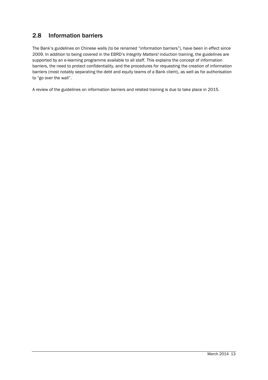# 2.8 Information barriers

The Bank's guidelines on Chinese walls (to be renamed "information barriers"), have been in effect since 2009. In addition to being covered in the EBRD's *Integrity Matters!* induction training, the guidelines are supported by an e-learning programme available to all staff. This explains the concept of information barriers, the need to protect confidentiality, and the procedures for requesting the creation of information barriers (most notably separating the debt and equity teams of a Bank client), as well as for authorisation to "go over the wall".

A review of the guidelines on information barriers and related training is due to take place in 2015.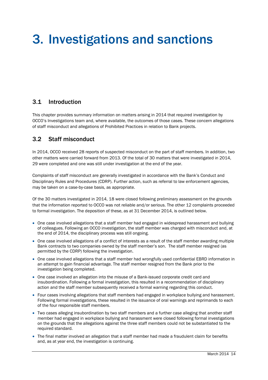# 3. Investigations and sanctions

#### 3.1 Introduction

This chapter provides summary information on matters arising in 2014 that required investigation by OCCO's Investigations team and, where available, the outcomes of those cases. These concern allegations of staff misconduct and allegations of Prohibited Practices in relation to Bank projects.

### 3.2 Staff misconduct

In 2014, OCCO received 28 reports of suspected misconduct on the part of staff members. In addition, two other matters were carried forward from 2013. Of the total of 30 matters that were investigated in 2014, 29 were completed and one was still under investigation at the end of the year.

Complaints of staff misconduct are generally investigated in accordance with the Bank's Conduct and Disciplinary Rules and Procedures (CDRP). Further action, such as referral to law enforcement agencies, may be taken on a case-by-case basis, as appropriate.

Of the 30 matters investigated in 2014, 18 were closed following preliminary assessment on the grounds that the information reported to OCCO was not reliable and/or serious. The other 12 complaints proceeded to formal investigation. The deposition of these, as at 31 December 2014, is outlined below.

- One case involved allegations that a staff member had engaged in widespread harassment and bullying of colleagues. Following an OCCO investigation, the staff member was charged with misconduct and, at the end of 2014, the disciplinary process was still ongoing.
- One case involved allegations of a conflict of interests as a result of the staff member awarding multiple Bank contracts to two companies owned by the staff member's son. The staff member resigned (as permitted by the CDRP) following the investigation.
- One case involved allegations that a staff member had wrongfully used confidential EBRD information in an attempt to gain financial advantage. The staff member resigned from the Bank prior to the investigation being completed.
- One case involved an allegation into the misuse of a Bank-issued corporate credit card and insubordination. Following a formal investigation, this resulted in a recommendation of disciplinary action and the staff member subsequently received a formal warning regarding this conduct.
- Four cases involving allegations that staff members had engaged in workplace bullying and harassment. Following formal investigations, these resulted in the issuance of oral warnings and reprimands to each of the four responsible staff members.
- Two cases alleging insubordination by two staff members and a further case alleging that another staff member had engaged in workplace bullying and harassment were closed following formal investigations on the grounds that the allegations against the three staff members could not be substantiated to the required standard.
- The final matter involved an allegation that a staff member had made a fraudulent claim for benefits and, as at year end, the investigation is continuing.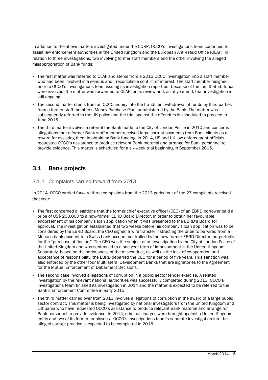In addition to the above matters investigated under the CDRP, OCCO's Investigations team continued to assist law enforcement authorities in the United Kingdom and the European Anti-Fraud Office (OLAF), in relation to three investigations, two involving former staff members and the other involving the alleged misappropriation of Bank funds:

- The first matter was referred to OLAF and stems from a 2013 OCCO investigation into a staff member who had been involved in a serious and irreconcilable conflict of interest. The staff member resigned prior to OCCO's Investigations team issuing its investigation report but because of the fact that EU funds were involved, the matter was forwarded to OLAF for its review and, as at year end, that investigation is still ongoing.
- The second matter stems from an OCCO inquiry into the fraudulent withdrawal of funds by third parties from a former staff member's Money Purchase Plan, administered by the Bank. The matter was subsequently referred to the UK police and the trial against the offenders is scheduled to proceed in June 2015.
- The third matter involves a referral the Bank made to the City of London Police in 2010 and concerns allegations that a former Bank staff member received large corrupt payments from Bank clients as a reward for assisting them in obtaining Bank funding. In 2014, US and UK law enforcement officials requested OCCO's assistance to produce relevant Bank material and arrange for Bank personnel to provide evidence. This matter is scheduled for a six-week trial beginning in September 2015.

## 3.1 Bank projects

#### 3.1.1 Complaints carried forward from 2013

In 2014, OCCO carried forward three complaints from the 2013 period out of the 27 complaints received that year:

- The first concerned allegations that the former chief executive officer (CEO) of an EBRD borrower paid a bribe of US\$ 200,000 to a now-former EBRD Board Director, in order to obtain her favourable endorsement of his company's loan application when it was presented to the EBRD's Board for approval. The investigation established that two weeks before his company's loan application was to be considered by the EBRD Board, the CEO signed a wire transfer instructing the bribe to be wired from a Monaco bank account to a Swiss bank account controlled by the now-former EBRD Director, purportedly for the "purchase of fine art". The CEO was the subject of an investigation by the City of London Police of the United Kingdom and was sentenced to a one-year term of imprisonment in the United Kingdom. Separately, based on the seriousness of the misconduct, as well as the lack of co-operation and acceptance of responsibility, the EBRD debarred the CEO for a period of five years. This sanction was also enforced by the other four Multilateral Development Banks that are signatories to the Agreement for the Mutual Enforcement of Debarment Decisions.
- The second case involved allegations of corruption in a public sector tender exercise. A related investigation by the relevant national authorities was successfully completed during 2013. OCCO's Investigations team finished its investigation in 2014 and the matter is expected to be referred to the Bank's Enforcement Committee in early 2015.
- The third matter carried over from 2013 involves allegations of corruption in the award of a large public sector contract. This matter is being investigated by national investigators from the United Kingdom and Lithuania who have requested OCCO's assistance to produce relevant Bank material and arrange for Bank personnel to provide evidence. In 2014, criminal charges were brought against a United Kingdom entity and two of its former employees. OCCO's Investigations team's separate investigation into the alleged corrupt practice is expected to be completed in 2015.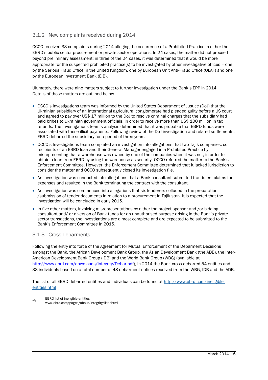#### 3.1.2 New complaints received during 2014

OCCO received 33 complaints during 2014 alleging the occurrence of a Prohibited Practice in either the EBRD's public sector procurement or private sector operations. In 24 cases, the matter did not proceed beyond preliminary assessment; in three of the 24 cases, it was determined that it would be more appropriate for the suspected prohibited practice(s) to be investigated by other investigative offices – one by the Serious Fraud Office in the United Kingdom, one by European Unit Anti-Fraud Office (OLAF) and one by the European Investment Bank (EIB).

Ultimately, there were nine matters subject to further investigation under the Bank's EPP in 2014. Details of those matters are outlined below.

- OCCO's Investigations team was informed by the United States Department of Justice (DoJ) that the Ukrainian subsidiary of an international agricultural conglomerate had pleaded guilty before a US court and agreed to pay over US\$ 17 million to the DoJ to resolve criminal charges that the subsidiary had paid bribes to Ukrainian government officials, in order to receive more than US\$ 100 million in tax refunds. The Investigations team's analysis determined that it was probable that EBRD funds were associated with these illicit payments. Following review of the DoJ investigation and related settlements, EBRD debarred the subsidiary for a period of three years.
- OCCO's Investigations team completed an investigation into allegations that two Tajik companies, corecipients of an EBRD loan and their General Manager engaged in a Prohibited Practice by misrepresenting that a warehouse was owned by one of the companies when it was not, in order to obtain a loan from EBRD by using the warehouse as security. OCCO referred the matter to the Bank's Enforcement Committee. However, the Enforcement Committee determined that it lacked jurisdiction to consider the matter and OCCO subsequently closed its investigation file.
- An investigation was conducted into allegations that a Bank consultant submitted fraudulent claims for expenses and resulted in the Bank terminating the contract with the consultant.
- An investigation was commenced into allegations that six tenderers colluded in the preparation /submission of tender documents in relation to a procurement in Tajikistan. It is expected that the investigation will be concluded in early 2015.
- In five other matters, involving misrepresentations by either the project sponsor and /or bidding consultant and/ or diversion of Bank funds for an unauthorised purpose arising in the Bank's private sector transactions, the investigations are almost complete and are expected to be submitted to the Bank's Enforcement Committee in 2015.

#### 3.1.3 Cross-debarments

Following the entry into force of the Agreement for Mutual Enforcement of the Debarment Decisions amongst the Bank, the African Development Bank Group, the Asian Development Bank (the ADB), the Inter-American Development Bank Group (IDB) and the World Bank Group (WBG) (available at [http://www.ebrd.com/downloads/integrity/Debar.pdf\)](http://www.ebrd.com/downloads/integrity/Debar.pdf), in 2014 the Bank cross debarred 54 entities and 33 individuals based on a total number of 48 debarment notices received from the WBG, IDB and the ADB.

The list of all EBRD debarred entities and individuals can be found at [http://www.ebrd.com/ineligible](http://www.ebrd.com/ineligible-entities.html)[entities.html](http://www.ebrd.com/ineligible-entities.html)

 $\sqrt{a}$ EBRD list of ineligible entities www.ebrd.com/pages/about/integrity/list.shtml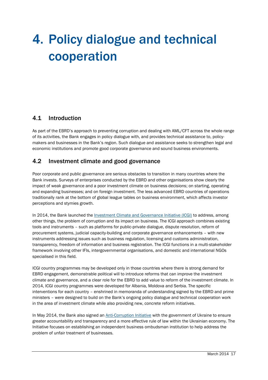# 4. Policy dialogue and technical cooperation

### 4.1 Introduction

As part of the EBRD's approach to preventing corruption and dealing with AML/CFT across the whole range of its activities, the Bank engages in policy dialogue with, and provides technical assistance to, policymakers and businesses in the Bank's region. Such dialogue and assistance seeks to strengthen legal and economic institutions and promote good corporate governance and sound business environments.

### 4.2 Investment climate and good governance

Poor corporate and public governance are serious obstacles to transition in many countries where the Bank invests. Surveys of enterprises conducted by the EBRD and other organisations show clearly the impact of weak governance and a poor investment climate on business decisions; on starting, operating and expanding businesses; and on foreign investment. The less advanced EBRD countries of operations traditionally rank at the bottom of global league tables on business environment, which affects investor perceptions and stymies growth.

In 2014, the Bank launched the [Investment Climate and Governance Initiative \(ICGI\)](http://www.ebrd.com/news/2014/ebrd-and-serbia-launch-investment-climate-and-governance-initiative.html) to address, among other things, the problem of corruption and its impact on business. The ICGI approach combines existing tools and instruments – such as platforms for public-private dialogue, dispute resolution, reform of procurement systems, judicial capacity-building and corporate governance enhancements – with new instruments addressing issues such as business regulation, licensing and customs administration, transparency, freedom of information and business registration. The ICGI functions in a multi-stakeholder framework involving other IFIs, intergovernmental organisations, and domestic and international NGOs specialised in this field.

ICGI country programmes may be developed only in those countries where there is strong demand for EBRD engagement, demonstrable political will to introduce reforms that can improve the investment climate and governance, and a clear role for the EBRD to add value to reform of the investment climate. In 2014, ICGI country programmes were developed for Albania, Moldova and Serbia. The specific interventions for each country – enshrined in memoranda of understanding signed by the EBRD and prime ministers – were designed to build on the Bank's ongoing policy dialogue and technical cooperation work in the area of investment climate while also providing new, concrete reform initiatives.

In May 2014, the Bank also signed an [Anti-Corruption Initiative](http://www.ebrd.com/news/2014/speech-transcript-suma-chakrabarti-at-the-signing-of-the-memorandum-of-understanding-for-the-ukrainian-anticorruption-initiative-in-kiev-on-12-may-2014-.html) with the government of Ukraine to ensure greater accountability and transparency and a more effective rule of law within the Ukrainian economy. The Initiative focuses on establishing an independent business ombudsman institution to help address the problem of unfair treatment of businesses.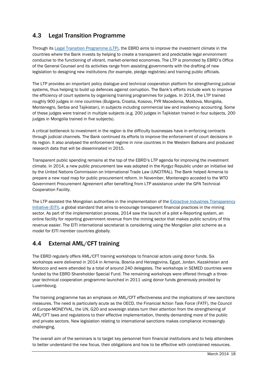# 4.3 Legal Transition Programme

Through its [Legal Transition Programme \(LTP\),](http://www.ebrd.com/what-we-do/sectors/legal-reform/transition-programme.html) the EBRD aims to improve the investment climate in the countries where the Bank invests by helping to create a transparent and predictable legal environment conducive to the functioning of vibrant, market-oriented economies. The LTP is promoted by EBRD's Office of the General Counsel and its activities range from assisting governments with the drafting of new legislation to designing new institutions (for example, pledge registries) and training public officials.

The LTP provides an important policy dialogue and technical cooperation platform for strengthening judicial systems, thus helping to build up defences against corruption. The Bank's efforts include work to improve the efficiency of court systems by organising training programmes for judges. In 2014, the LTP trained roughly 900 judges in nine countries (Bulgaria, Croatia, Kosovo, FYR Macedonia, Moldova, Mongolia, Montenegro, Serbia and Tajikistan), in subjects including commercial law and insolvency accounting. Some of these judges were trained in multiple subjects (e.g. 200 judges in Tajikistan trained in four subjects, 200 judges in Mongolia trained in five subjects).

A critical bottleneck to investment in the region is the difficulty businesses have in enforcing contracts through judicial channels. The Bank continued its efforts to improve the enforcement of court decisions in its region. It also analysed the enforcement regime in nine countries in the Western Balkans and produced research data that will be disseminated in 2015.

Transparent public spending remains at the top of the EBRD's LTP agenda for improving the investment climate. In 2014, a new public procurement law was adopted in the Kyrgyz Republic under an initiative led by the United Nations Commission on International Trade Law (UNCITRAL). The Bank helped Armenia to prepare a new road map for public procurement reform. In November, Montenegro acceded to the WTO Government Procurement Agreement after benefiting from LTP assistance under the GPA Technical Cooperation Facility.

The LTP assisted the Mongolian authorities in the implementation of the Extractive Industries Transparency [Initiative \(EITI\),](https://eiti.org/) a global standard that aims to encourage transparent financial practices in the mining sector. As part of the implementation process, 2014 saw the launch of a pilot e-Reporting system, an online facility for reporting government revenue from the mining sector that makes public scrutiny of this revenue easier. The EITI international secretariat is considering using the Mongolian pilot scheme as a model for EITI member countries globally.

# 4.4 External AML/CFT training

The EBRD regularly offers AML/CFT training workshops to financial actors using donor funds. Six workshops were delivered in 2014 in Armenia, Bosnia and Herzegovina, Egypt, Jordan, Kazakhstan and Morocco and were attended by a total of around 240 delegates. The workshops in SEMED countries were funded by the EBRD Shareholder Special Fund. The remaining workshops were offered through a threeyear technical cooperation programme launched in 2011 using donor funds generously provided by Luxembourg.

The training programme has an emphasis on AML/CFT effectiveness and the implications of new sanctions measures. The need is particularly acute as the OECD, the Financial Action Task Force (FATF), the Council of Europe-MONEYVAL, the UN, G20 and sovereign states turn their attention from the strengthening of AML/CFT laws and regulations to their effective implementation, thereby demanding more of the public and private sectors. New legislation relating to international sanctions makes compliance increasingly challenging.

The overall aim of the seminars is to target key personnel from financial institutions and to help attendees to better understand the new focus, their obligations and how to be effective with constrained resources.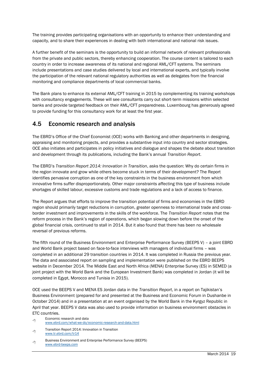The training provides participating organisations with an opportunity to enhance their understanding and capacity, and to share their experiences in dealing with both international and national risk issues.

A further benefit of the seminars is the opportunity to build an informal network of relevant professionals from the private and public sectors, thereby enhancing cooperation. The course content is tailored to each country in order to increase awareness of its national and regional AML/CFT systems. The seminars include presentations and case studies delivered by local and international experts, and typically involve the participation of the relevant national regulatory authorities as well as delegates from the financial monitoring and compliance departments of local commercial banks.

The Bank plans to enhance its external AML/CFT training in 2015 by complementing its training workshops with consultancy engagements. These will see consultants carry out short-term missions within selected banks and provide targeted feedback on their AML/CFT preparedness. Luxembourg has generously agreed to provide funding for this consultancy work for at least the first year.

## 4.5 Economic research and analysis

The EBRD's Office of the Chief Economist (OCE) works with Banking and other departments in designing, appraising and monitoring projects, and provides a substantive input into country and sector strategies. OCE also initiates and participates in policy initiatives and dialogue and shapes the debate about transition and development through its publications, including the Bank's annual *Transition Report*.

The EBRD's *Transition Report 2014: Innovation in Transition*, asks the question: Why do certain firms in the region innovate and grow while others become stuck in terms of their development? The Report identifies pervasive corruption as one of the key constraints in the business environment from which innovative firms suffer disproportionately. Other major constraints affecting this type of business include shortages of skilled labour, excessive customs and trade regulations and a lack of access to finance.

The Report argues that efforts to improve the transition potential of firms and economies in the EBRD region should primarily target reductions in corruption, greater openness to international trade and crossborder investment and improvements in the skills of the workforce. The *Transition Report* notes that the reform process in the Bank's region of operations, which began slowing down before the onset of the global financial crisis, continued to stall in 2014. But it also found that there has been no wholesale reversal of previous reforms.

The fifth round of the Business Environment and Enterprise Performance Survey (BEEPS V) – a joint EBRD and World Bank project based on face-to-face interviews with managers of individual firms – was completed in an additional 29 transition countries in 2014. It was completed in Russia the previous year. The data and associated report on sampling and implementation were published on the EBRD BEEPS website in December 2014. The Middle East and North Africa (MENA) Enterprise Survey (ES) in SEMED (a joint project with the World Bank and the European Investment Bank) was completed in Jordan (it will be completed in Egypt, Morocco and Tunisia in 2015).

OCE used the BEEPS V and MENA ES Jordan data in the *Transition Report*, in a report on Tajikistan's Business Environment (prepared for and presented at the Business and Economic Forum in Dushanbe in October 2014) and in a presentation at an event organised by the World Bank in the Kyrgyz Republic in April that year. BEEPS V data was also used to provide information on business environment obstacles in ETC countries.

- ∽А Economic research and data [www.ebrd.com/what-we-do/economic-research-and-data.html](http://www.ebrd.com/what-we-do/economic-research-and-data.html)
- 个 Transition Report 2014: Innovation in Transition [www.tr.ebrd.com/tr14](http://www.tr.ebrd.com/tr14)
- 哈 Business Environment and Enterprise Performance Survey (BEEPS) [www.ebrd-beeps.com](http://www.ebrd-beeps.com/)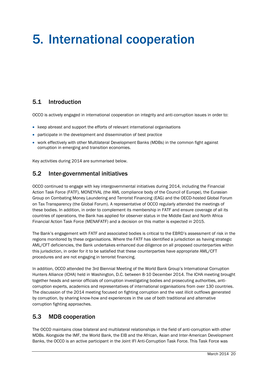# 5. International cooperation

## 5.1 Introduction

OCCO is actively engaged in international cooperation on integrity and anti-corruption issues in order to:

- keep abreast and support the efforts of relevant international organisations
- participate in the development and dissemination of best practice
- work effectively with other Multilateral Development Banks (MDBs) in the common fight against corruption in emerging and transition economies.

Key activities during 2014 are summarised below.

### 5.2 Inter-governmental initiatives

OCCO continued to engage with key intergovernmental initiatives during 2014, including the Financial Action Task Force (FATF), MONEYVAL (the AML compliance body of the Council of Europe), the Eurasian Group on Combating Money Laundering and Terrorist Financing (EAG) and the OECD-hosted Global Forum on Tax Transparency (the Global Forum). A representative of OCCO regularly attended the meetings of these bodies. In addition, in order to complement its membership in FATF and ensure coverage of all its countries of operations, the Bank has applied for observer status in the Middle East and North Africa Financial Action Task Force (MENAFATF) and a decision on this matter is expected in 2015.

The Bank's engagement with FATF and associated bodies is critical to the EBRD's assessment of risk in the regions monitored by these organisations. Where the FATF has identified a jurisdiction as having strategic AML/CFT deficiencies, the Bank undertakes enhanced due diligence on all proposed counterparties within this jurisdiction, in order for it to be satisfied that these counterparties have appropriate AML/CFT procedures and are not engaging in terrorist financing.

In addition, OCCO attended the 3rd Biennial Meeting of the World Bank Group's International Corruption Hunters Alliance (ICHA) held in Washington, D.C. between 8-10 December 2014. The ICHA meeting brought together heads and senior officials of corruption investigating bodies and prosecuting authorities, anticorruption experts, academics and representatives of international organisations from over 130 countries. The discussion of the 2014 meeting focused on fighting corruption and the vast illicit outflows generated by corruption, by sharing know-how and experiences in the use of both traditional and alternative corruption fighting approaches.

### 5.3 MDB cooperation

The OCCO maintains close bilateral and multilateral relationships in the field of anti-corruption with other MDBs. Alongside the IMF, the World Bank, the EIB and the African, Asian and Inter-American Development Banks, the OCCO is an active participant in the Joint IFI Anti-Corruption Task Force. This Task Force was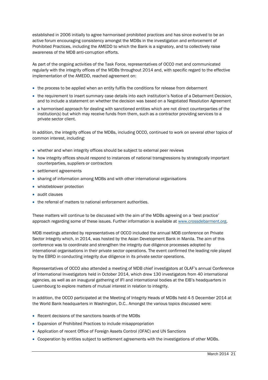established in 2006 initially to agree harmonised prohibited practices and has since evolved to be an active forum encouraging consistency amongst the MDBs in the investigation and enforcement of Prohibited Practices, including the AMEDD to which the Bank is a signatory, and to collectively raise awareness of the MDB anti-corruption efforts.

As part of the ongoing activities of the Task Force, representatives of OCCO met and communicated regularly with the integrity offices of the MDBs throughout 2014 and, with specific regard to the effective implementation of the AMEDD, reached agreement on:

- the process to be applied when an entity fulfils the conditions for release from debarment
- the requirement to insert summary case details into each institution's Notice of a Debarment Decision, and to include a statement on whether the decision was based on a Negotiated Resolution Agreement
- a harmonised approach for dealing with sanctioned entities which are not direct counterparties of the institution(s) but which may receive funds from them, such as a contractor providing services to a private sector client.

In addition, the integrity offices of the MDBs, including OCCO, continued to work on several other topics of common interest, including:

- whether and when integrity offices should be subject to external peer reviews
- how integrity offices should respond to instances of national transgressions by strategically important counterparties, suppliers or contractors
- settlement agreements
- sharing of information among MDBs and with other international organisations
- whistleblower protection
- audit clauses
- the referral of matters to national enforcement authorities.

These matters will continue to be discussed with the aim of the MDBs agreeing on a 'best practice' approach regarding some of these issues. Further information is available at [www.crossdebarment.org.](http://crossdebarment.org/oai001p.nsf)

MDB meetings attended by representatives of OCCO included the annual MDB conference on Private Sector Integrity which, in 2014, was hosted by the Asian Development Bank in Manila. The aim of this conference was to coordinate and strengthen the integrity due diligence processes adopted by international organisations in their private sector operations. The event confirmed the leading role played by the EBRD in conducting integrity due diligence in its private sector operations.

Representatives of OCCO also attended a meeting of MDB chief investigators at OLAF's annual Conference of International Investigators held in October 2014, which drew 130 investigators from 40 international agencies, as well as an inaugural gathering of IFI and international bodies at the EIB's headquarters in Luxembourg to explore matters of mutual interest in relation to integrity.

In addition, the OCCO participated at the Meeting of Integrity Heads of MDBs held 4-5 December 2014 at the World Bank headquarters in Washington, D.C.. Amongst the various topics discussed were:

- Recent decisions of the sanctions boards of the MDBs
- Expansion of Prohibited Practices to include misappropriation
- Application of recent Office of Foreign Assets Control (OFAC) and UN Sanctions
- Cooperation by entities subject to settlement agreements with the investigations of other MDBs.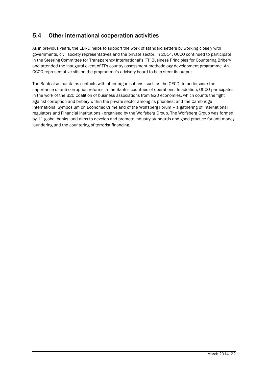# 5.4 Other international cooperation activities

As in previous years, the EBRD helps to support the work of standard setters by working closely with governments, civil society representatives and the private sector. In 2014, OCCO continued to participate in the Steering Committee for Transparency International's (TI) Business Principles for Countering Bribery and attended the inaugural event of TI's country assessment methodology development programme. An OCCO representative sits on the programme's advisory board to help steer its output.

The Bank also maintains contacts with other organisations, such as the OECD, to underscore the importance of anti-corruption reforms in the Bank's countries of operations. In addition, OCCO participates in the work of the B20 Coalition of business associations from G20 economies, which counts the fight against corruption and bribery within the private sector among its priorities; and the Cambridge International Symposium on Economic Crime and of the Wolfsberg Forum – a gathering of international regulators and Financial Institutions - organised by the Wolfsberg Group. The Wolfsberg Group was formed by 11 global banks, and aims to develop and promote industry standards and good practice for anti-money laundering and the countering of terrorist financing.